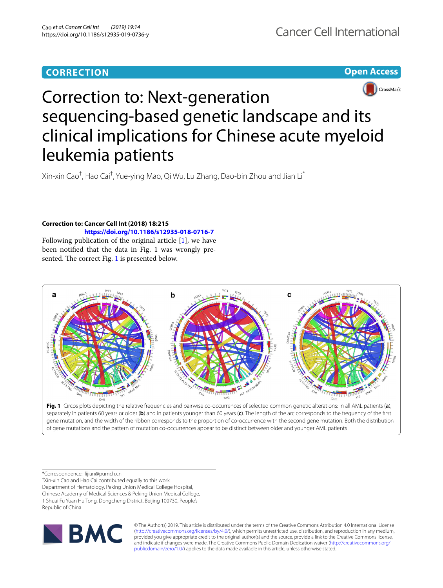# **CORRECTION**

**Open Access**



# Correction to: Next-generation sequencing-based genetic landscape and its clinical implications for Chinese acute myeloid leukemia patients

Xin-xin Cao<sup>†</sup>, Hao Cai<sup>†</sup>, Yue-ying Mao, Qi Wu, Lu Zhang, Dao-bin Zhou and Jian Li<sup>\*</sup>

## **Correction to: Cancer Cell Int (2018) 18:215 <https://doi.org/10.1186/s12935-018-0716-7>**

Following publication of the original article [[1\]](#page-1-0), we have been notified that the data in Fig. 1 was wrongly pre-sented. The correct Fig. [1](#page-0-0) is presented below.



<span id="page-0-0"></span>**Fig. 1** Circos plots depicting the relative frequencies and pairwise co-occurrences of selected common genetic alterations: in all AML patients (**a**), separately in patients 60 years or older (**b**) and in patients younger than 60 years (**c**). The length of the arc corresponds to the frequency of the frst gene mutation, and the width of the ribbon corresponds to the proportion of co-occurrence with the second gene mutation. Both the distribution of gene mutations and the pattern of mutation co-occurrences appear to be distinct between older and younger AML patients

\*Correspondence: lijian@pumch.cn

† Xin-xin Cao and Hao Cai contributed equally to this work

Department of Hematology, Peking Union Medical College Hospital, Chinese Academy of Medical Sciences & Peking Union Medical College, 1 Shuai Fu Yuan Hu Tong, Dongcheng District, Beijing 100730, People's Republic of China



© The Author(s) 2019. This article is distributed under the terms of the Creative Commons Attribution 4.0 International License [\(http://creativecommons.org/licenses/by/4.0/\)](http://creativecommons.org/licenses/by/4.0/), which permits unrestricted use, distribution, and reproduction in any medium, provided you give appropriate credit to the original author(s) and the source, provide a link to the Creative Commons license, and indicate if changes were made. The Creative Commons Public Domain Dedication waiver ([http://creativecommons.org/](http://creativecommons.org/publicdomain/zero/1.0/) [publicdomain/zero/1.0/](http://creativecommons.org/publicdomain/zero/1.0/)) applies to the data made available in this article, unless otherwise stated.